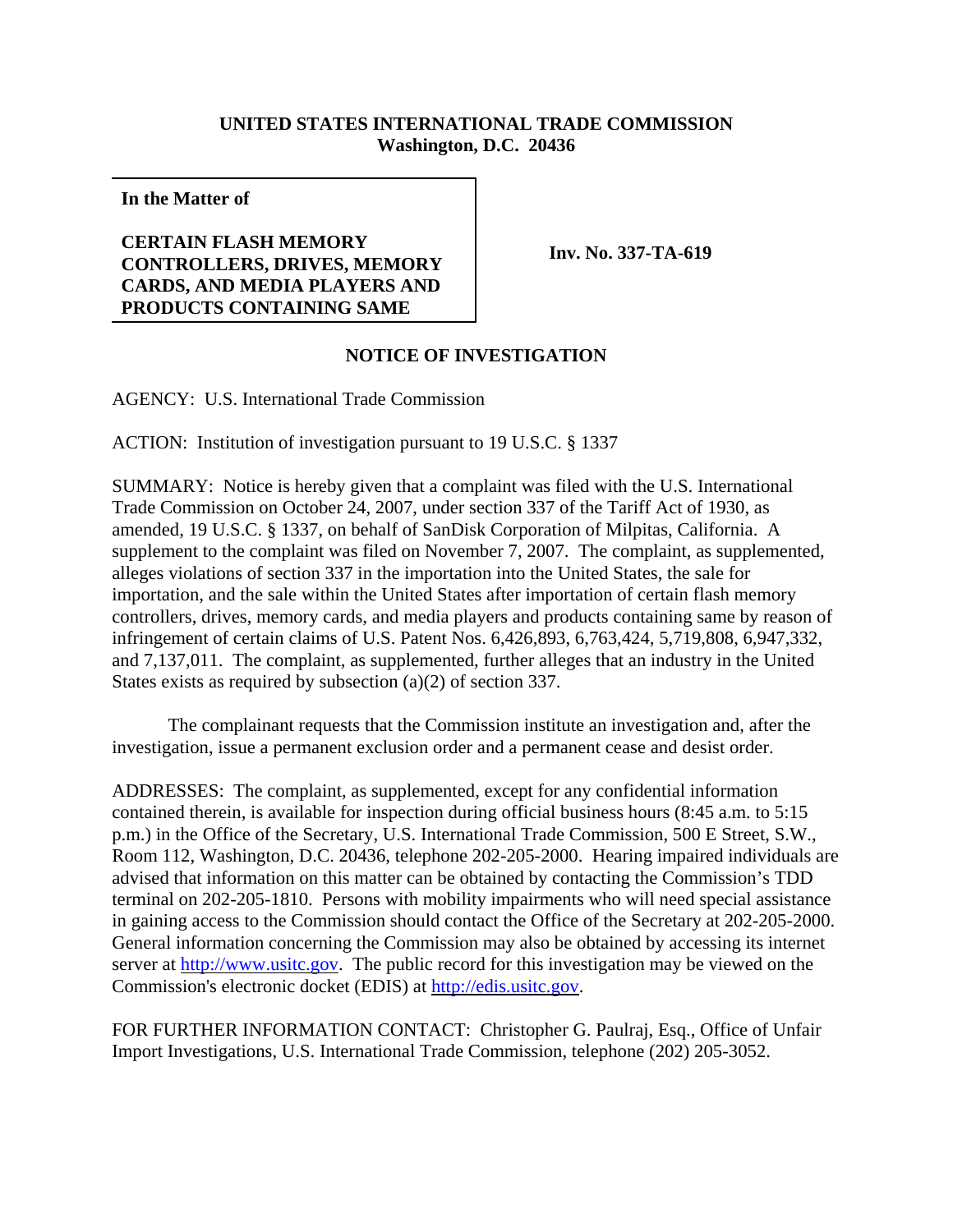## **UNITED STATES INTERNATIONAL TRADE COMMISSION Washington, D.C. 20436**

**In the Matter of**

## **CERTAIN FLASH MEMORY CONTROLLERS, DRIVES, MEMORY CARDS, AND MEDIA PLAYERS AND PRODUCTS CONTAINING SAME**

**Inv. No. 337-TA-619**

## **NOTICE OF INVESTIGATION**

AGENCY: U.S. International Trade Commission

ACTION: Institution of investigation pursuant to 19 U.S.C. § 1337

SUMMARY: Notice is hereby given that a complaint was filed with the U.S. International Trade Commission on October 24, 2007, under section 337 of the Tariff Act of 1930, as amended, 19 U.S.C. § 1337, on behalf of SanDisk Corporation of Milpitas, California. A supplement to the complaint was filed on November 7, 2007. The complaint, as supplemented, alleges violations of section 337 in the importation into the United States, the sale for importation, and the sale within the United States after importation of certain flash memory controllers, drives, memory cards, and media players and products containing same by reason of infringement of certain claims of U.S. Patent Nos. 6,426,893, 6,763,424, 5,719,808, 6,947,332, and 7,137,011. The complaint, as supplemented, further alleges that an industry in the United States exists as required by subsection (a)(2) of section 337.

The complainant requests that the Commission institute an investigation and, after the investigation, issue a permanent exclusion order and a permanent cease and desist order.

ADDRESSES: The complaint, as supplemented, except for any confidential information contained therein, is available for inspection during official business hours (8:45 a.m. to 5:15 p.m.) in the Office of the Secretary, U.S. International Trade Commission, 500 E Street, S.W., Room 112, Washington, D.C. 20436, telephone 202-205-2000. Hearing impaired individuals are advised that information on this matter can be obtained by contacting the Commission's TDD terminal on 202-205-1810. Persons with mobility impairments who will need special assistance in gaining access to the Commission should contact the Office of the Secretary at 202-205-2000. General information concerning the Commission may also be obtained by accessing its internet server at http://www.usitc.gov. The public record for this investigation may be viewed on the Commission's electronic docket (EDIS) at http://edis.usitc.gov.

FOR FURTHER INFORMATION CONTACT: Christopher G. Paulraj, Esq., Office of Unfair Import Investigations, U.S. International Trade Commission, telephone (202) 205-3052.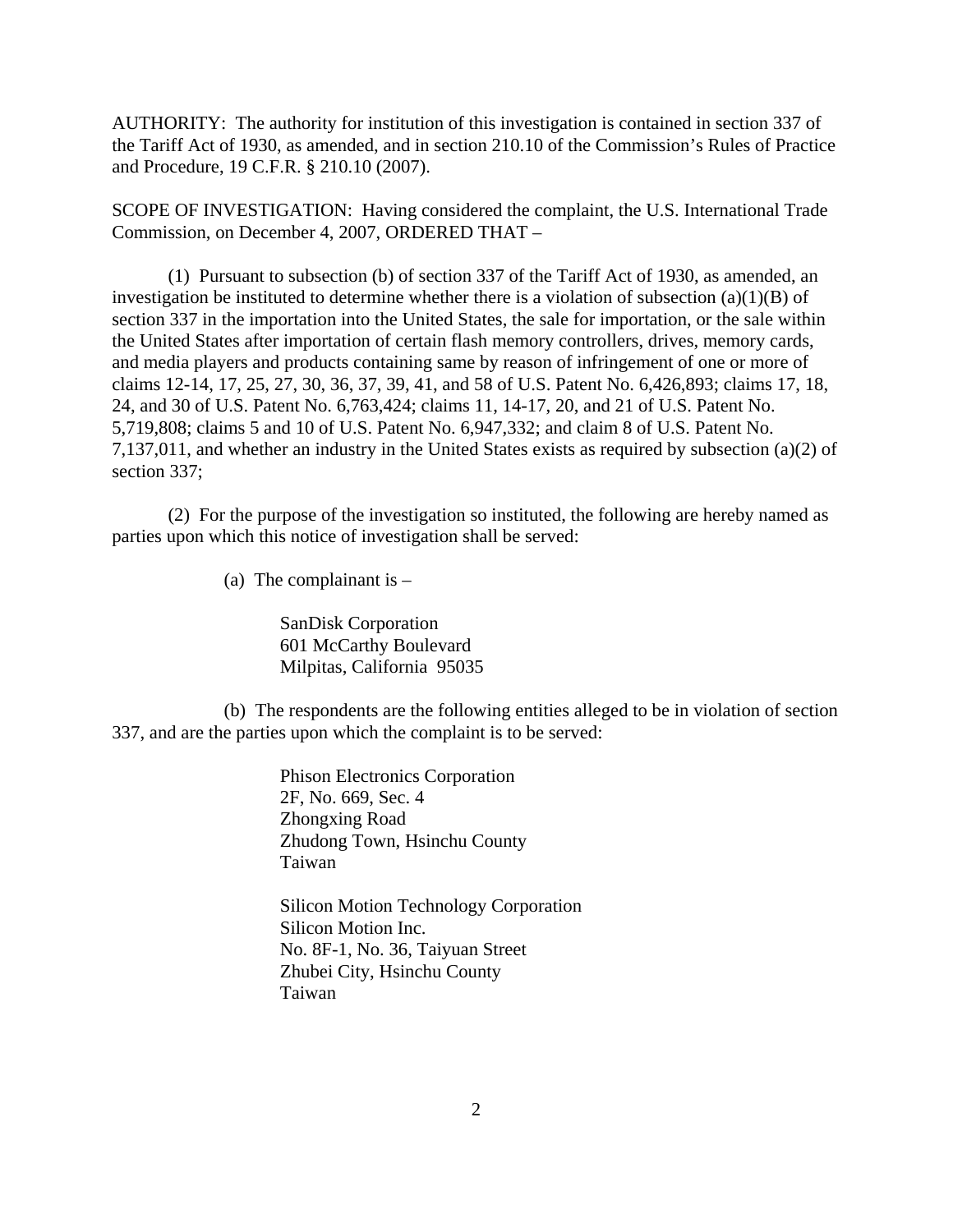AUTHORITY: The authority for institution of this investigation is contained in section 337 of the Tariff Act of 1930, as amended, and in section 210.10 of the Commission's Rules of Practice and Procedure, 19 C.F.R. § 210.10 (2007).

SCOPE OF INVESTIGATION: Having considered the complaint, the U.S. International Trade Commission, on December 4, 2007, ORDERED THAT –

(1) Pursuant to subsection (b) of section 337 of the Tariff Act of 1930, as amended, an investigation be instituted to determine whether there is a violation of subsection  $(a)(1)(B)$  of section 337 in the importation into the United States, the sale for importation, or the sale within the United States after importation of certain flash memory controllers, drives, memory cards, and media players and products containing same by reason of infringement of one or more of claims 12-14, 17, 25, 27, 30, 36, 37, 39, 41, and 58 of U.S. Patent No. 6,426,893; claims 17, 18, 24, and 30 of U.S. Patent No. 6,763,424; claims 11, 14-17, 20, and 21 of U.S. Patent No. 5,719,808; claims 5 and 10 of U.S. Patent No. 6,947,332; and claim 8 of U.S. Patent No. 7,137,011, and whether an industry in the United States exists as required by subsection (a)(2) of section 337;

(2) For the purpose of the investigation so instituted, the following are hereby named as parties upon which this notice of investigation shall be served:

(a) The complainant is  $-$ 

SanDisk Corporation 601 McCarthy Boulevard Milpitas, California 95035

(b) The respondents are the following entities alleged to be in violation of section 337, and are the parties upon which the complaint is to be served:

> Phison Electronics Corporation 2F, No. 669, Sec. 4 Zhongxing Road Zhudong Town, Hsinchu County Taiwan

Silicon Motion Technology Corporation Silicon Motion Inc. No. 8F-1, No. 36, Taiyuan Street Zhubei City, Hsinchu County Taiwan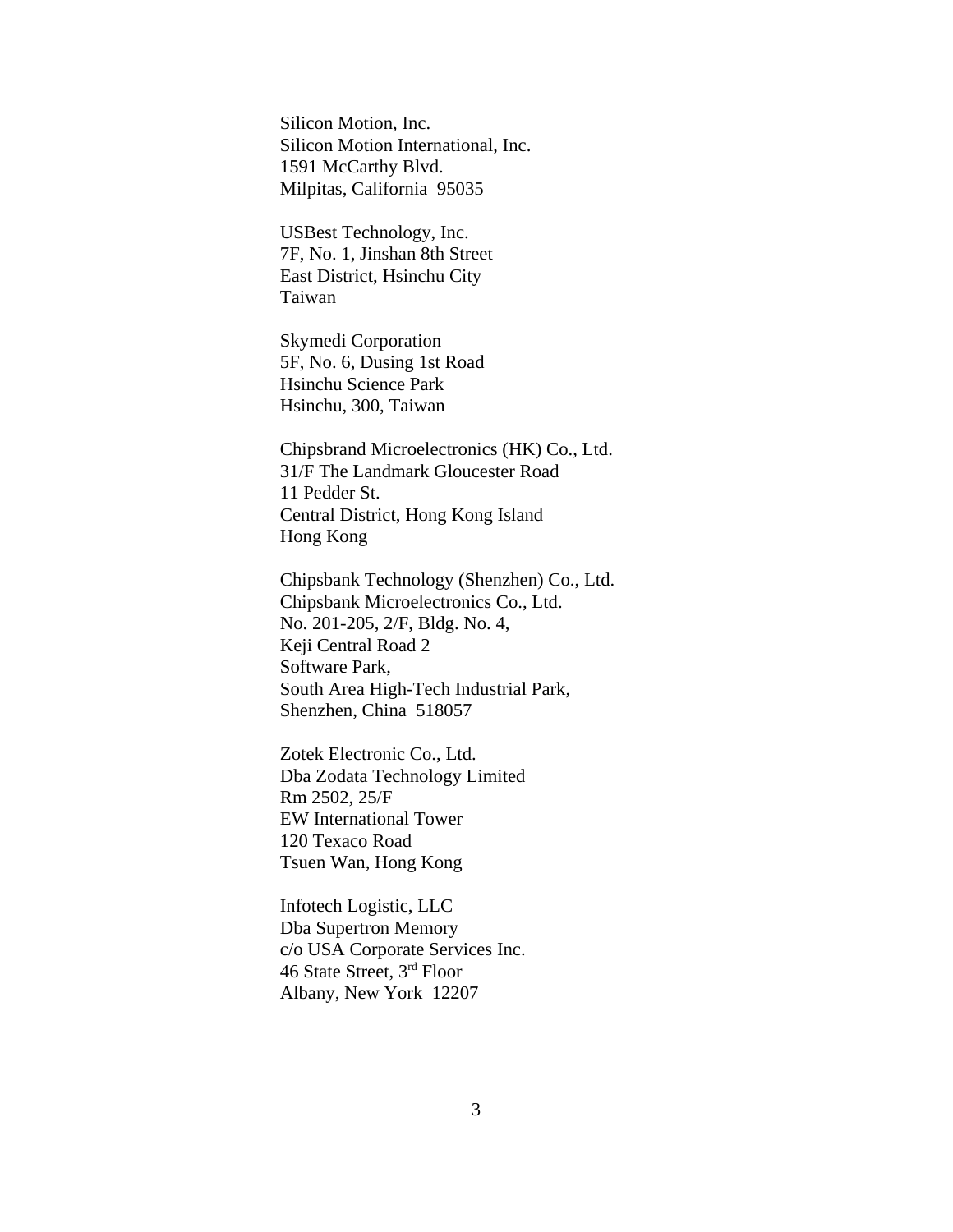Silicon Motion, Inc. Silicon Motion International, Inc. 1591 McCarthy Blvd. Milpitas, California 95035

USBest Technology, Inc. 7F, No. 1, Jinshan 8th Street East District, Hsinchu City Taiwan

Skymedi Corporation 5F, No. 6, Dusing 1st Road Hsinchu Science Park Hsinchu, 300, Taiwan

Chipsbrand Microelectronics (HK) Co., Ltd. 31/F The Landmark Gloucester Road 11 Pedder St. Central District, Hong Kong Island Hong Kong

Chipsbank Technology (Shenzhen) Co., Ltd. Chipsbank Microelectronics Co., Ltd. No. 201-205, 2/F, Bldg. No. 4, Keji Central Road 2 Software Park, South Area High-Tech Industrial Park, Shenzhen, China 518057

Zotek Electronic Co., Ltd. Dba Zodata Technology Limited Rm 2502, 25/F EW International Tower 120 Texaco Road Tsuen Wan, Hong Kong

Infotech Logistic, LLC Dba Supertron Memory c/o USA Corporate Services Inc. 46 State Street, 3rd Floor Albany, New York 12207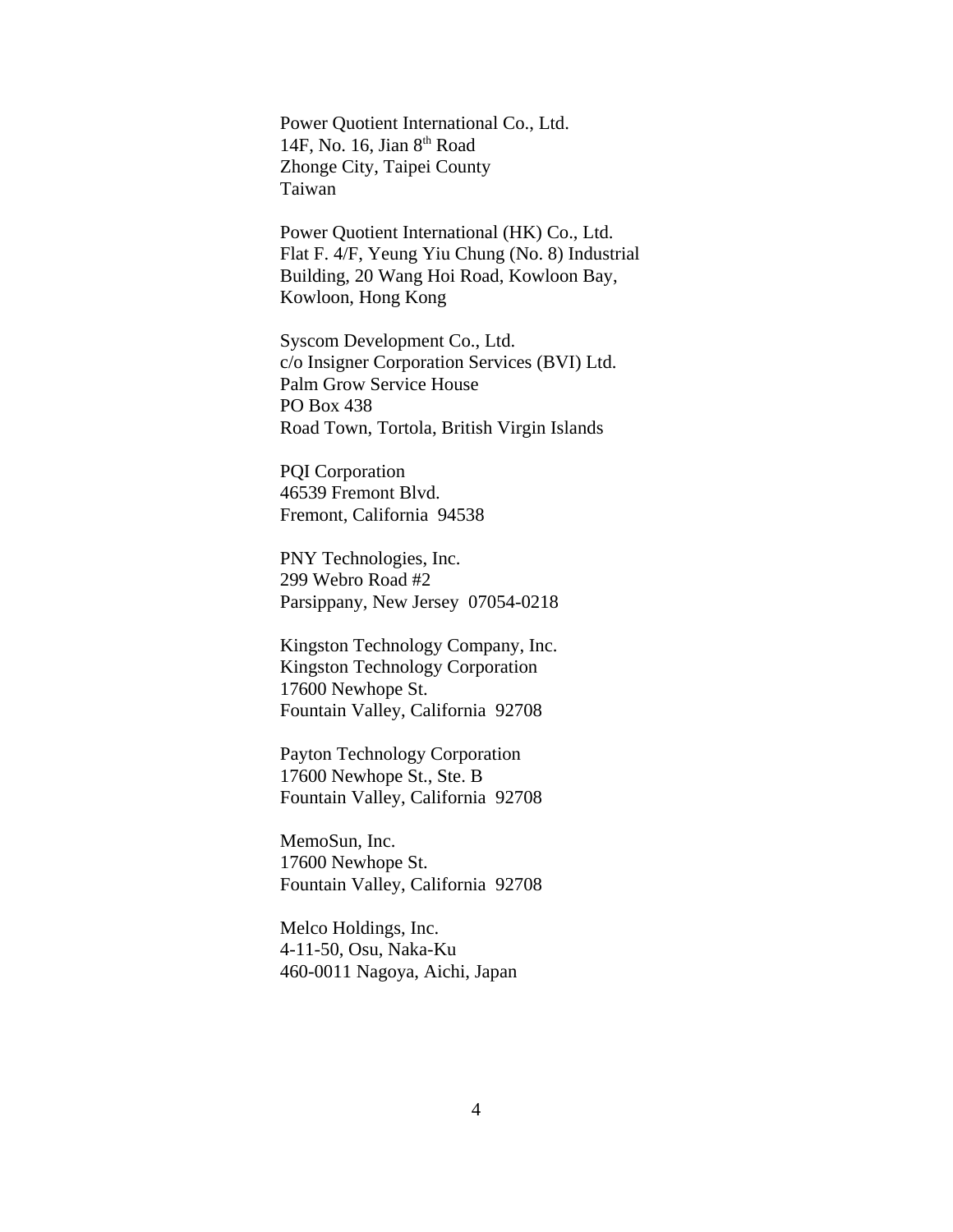Power Quotient International Co., Ltd. 14F, No. 16, Jian  $8<sup>th</sup>$  Road Zhonge City, Taipei County Taiwan

Power Quotient International (HK) Co., Ltd. Flat F. 4/F, Yeung Yiu Chung (No. 8) Industrial Building, 20 Wang Hoi Road, Kowloon Bay, Kowloon, Hong Kong

Syscom Development Co., Ltd. c/o Insigner Corporation Services (BVI) Ltd. Palm Grow Service House PO Box 438 Road Town, Tortola, British Virgin Islands

PQI Corporation 46539 Fremont Blvd. Fremont, California 94538

PNY Technologies, Inc. 299 Webro Road #2 Parsippany, New Jersey 07054-0218

Kingston Technology Company, Inc. Kingston Technology Corporation 17600 Newhope St. Fountain Valley, California 92708

Payton Technology Corporation 17600 Newhope St., Ste. B Fountain Valley, California 92708

MemoSun, Inc. 17600 Newhope St. Fountain Valley, California 92708

Melco Holdings, Inc. 4-11-50, Osu, Naka-Ku 460-0011 Nagoya, Aichi, Japan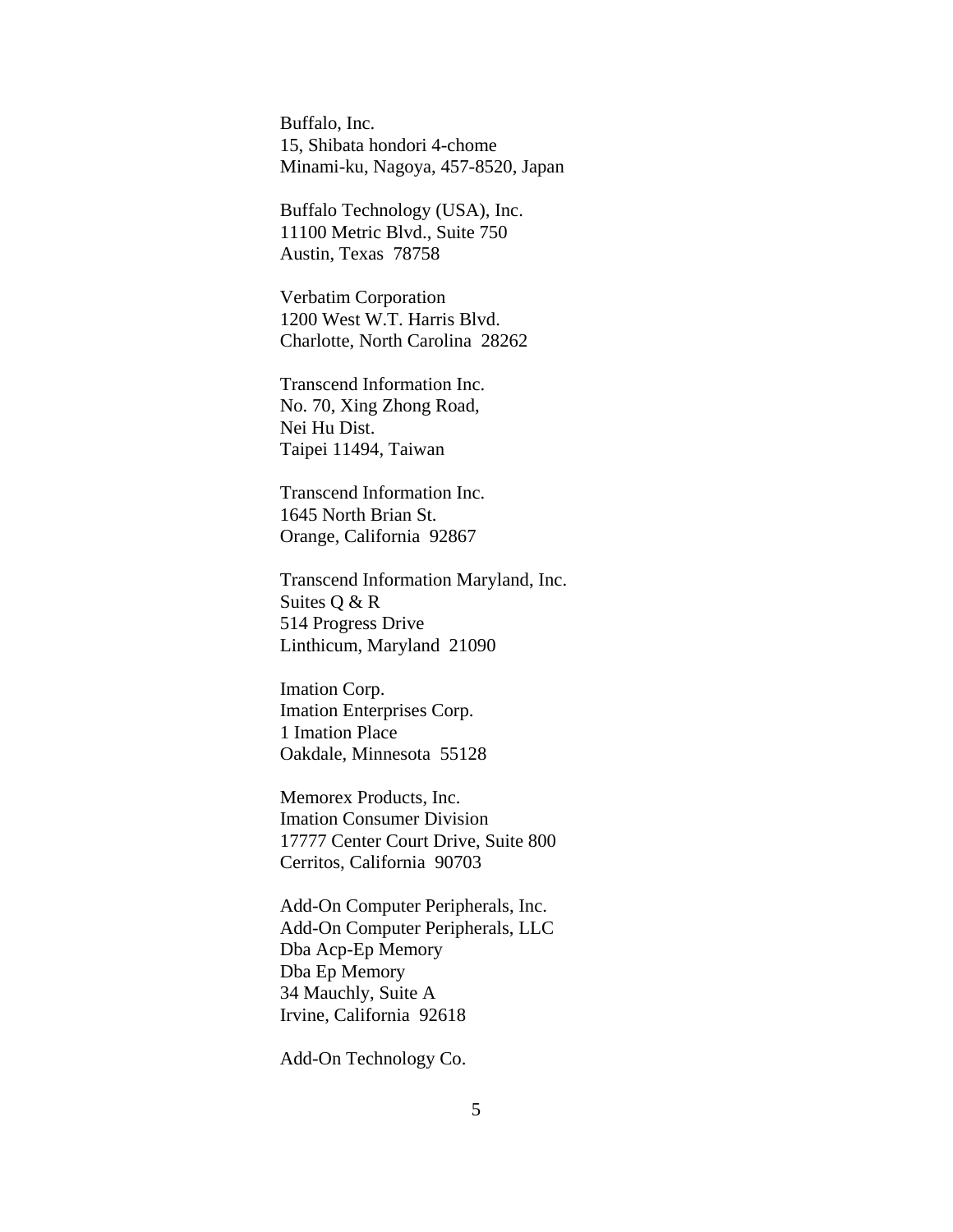Buffalo, Inc. 15, Shibata hondori 4-chome Minami-ku, Nagoya, 457-8520, Japan

Buffalo Technology (USA), Inc. 11100 Metric Blvd., Suite 750 Austin, Texas 78758

Verbatim Corporation 1200 West W.T. Harris Blvd. Charlotte, North Carolina 28262

Transcend Information Inc. No. 70, Xing Zhong Road, Nei Hu Dist. Taipei 11494, Taiwan

Transcend Information Inc. 1645 North Brian St. Orange, California 92867

Transcend Information Maryland, Inc. Suites Q & R 514 Progress Drive Linthicum, Maryland 21090

Imation Corp. Imation Enterprises Corp. 1 Imation Place Oakdale, Minnesota 55128

Memorex Products, Inc. Imation Consumer Division 17777 Center Court Drive, Suite 800 Cerritos, California 90703

Add-On Computer Peripherals, Inc. Add-On Computer Peripherals, LLC Dba Acp-Ep Memory Dba Ep Memory 34 Mauchly, Suite A Irvine, California 92618

Add-On Technology Co.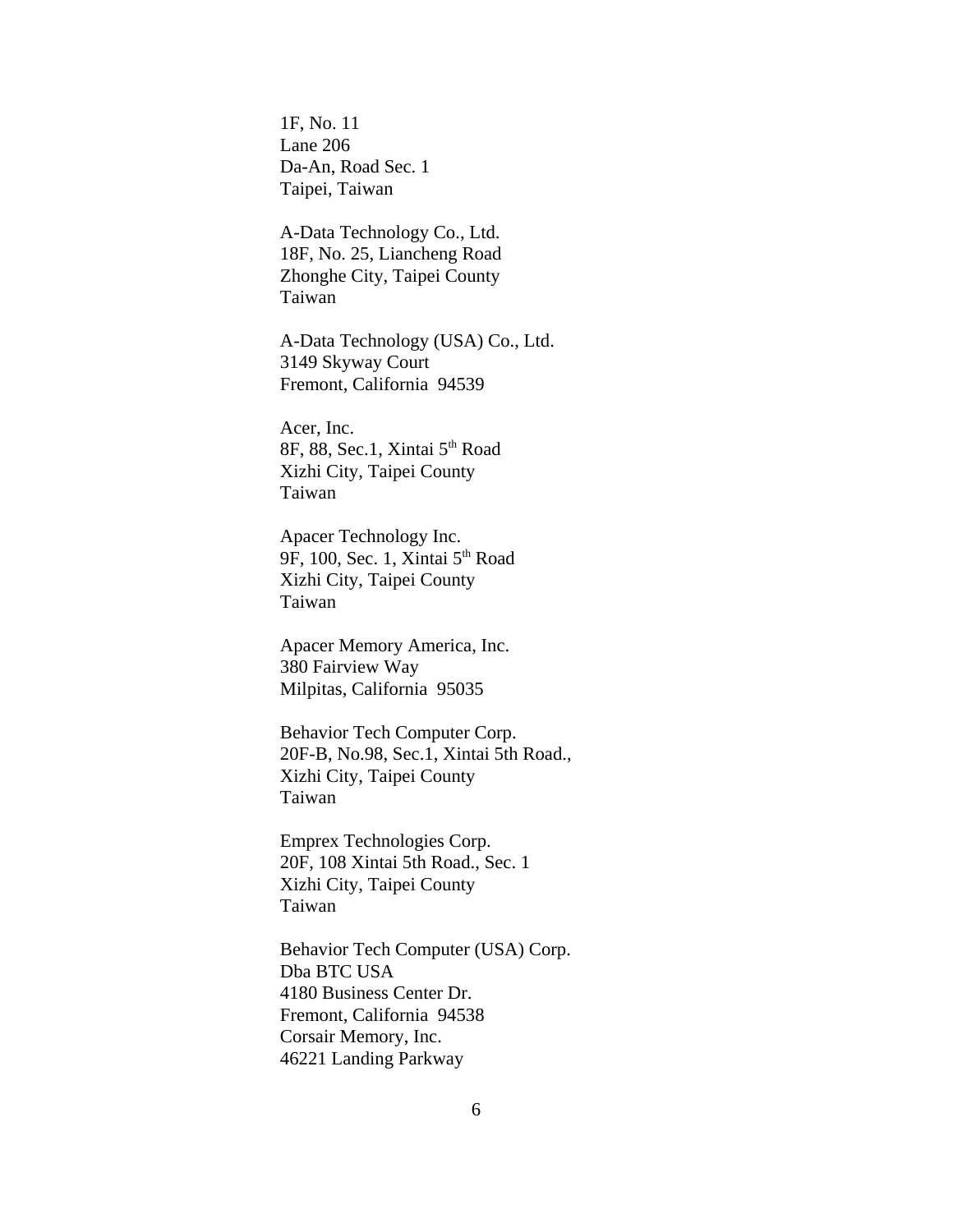1F, No. 11 Lane 206 Da-An, Road Sec. 1 Taipei, Taiwan

A-Data Technology Co., Ltd. 18F, No. 25, Liancheng Road Zhonghe City, Taipei County Taiwan

A-Data Technology (USA) Co., Ltd. 3149 Skyway Court Fremont, California 94539

Acer, Inc. 8F, 88, Sec.1, Xintai 5<sup>th</sup> Road Xizhi City, Taipei County Taiwan

Apacer Technology Inc. 9F, 100, Sec. 1, Xintai 5<sup>th</sup> Road Xizhi City, Taipei County Taiwan

Apacer Memory America, Inc. 380 Fairview Way Milpitas, California 95035

Behavior Tech Computer Corp. 20F-B, No.98, Sec.1, Xintai 5th Road., Xizhi City, Taipei County Taiwan

Emprex Technologies Corp. 20F, 108 Xintai 5th Road., Sec. 1 Xizhi City, Taipei County Taiwan

Behavior Tech Computer (USA) Corp. Dba BTC USA 4180 Business Center Dr. Fremont, California 94538 Corsair Memory, Inc. 46221 Landing Parkway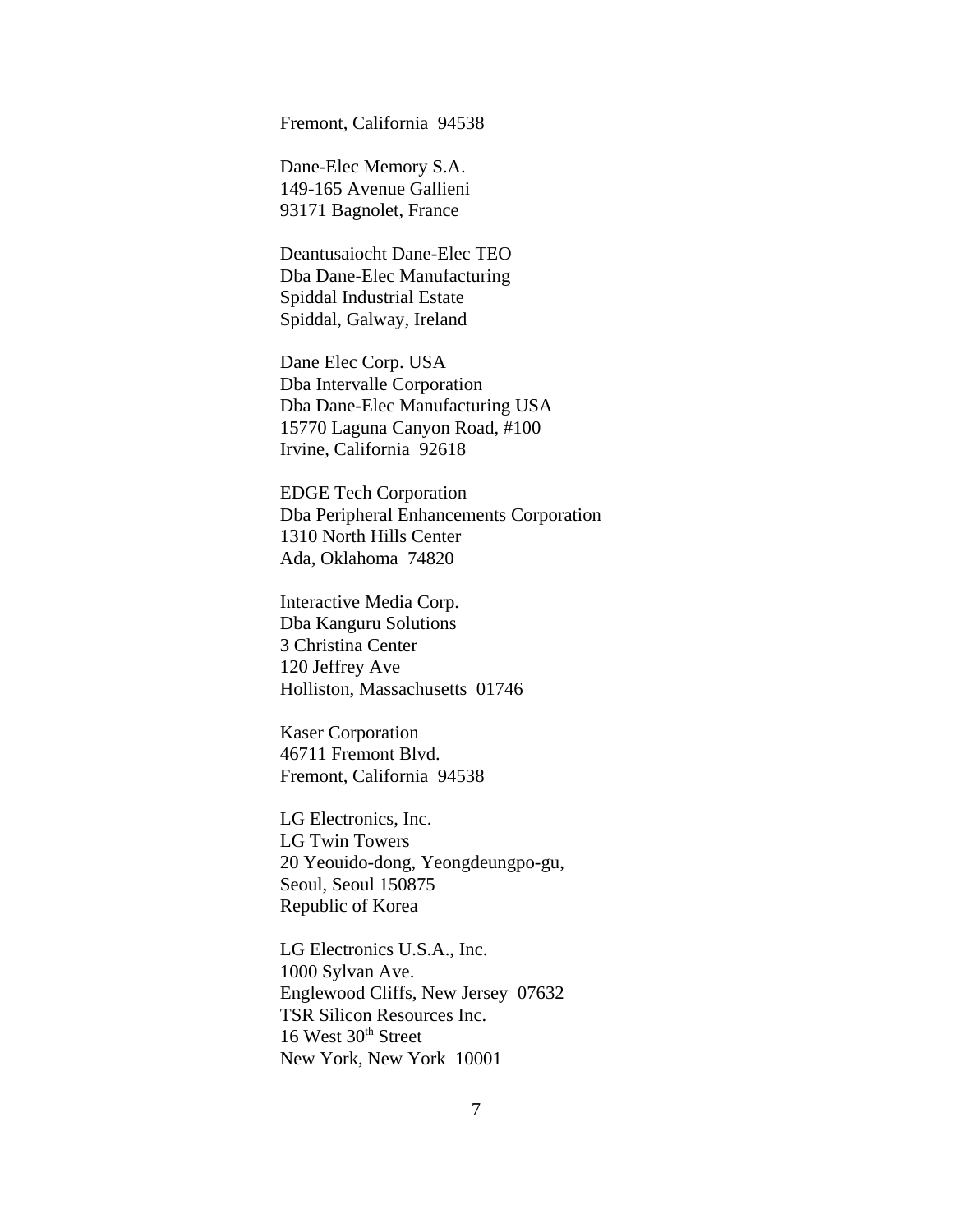Fremont, California 94538

Dane-Elec Memory S.A. 149-165 Avenue Gallieni 93171 Bagnolet, France

Deantusaiocht Dane-Elec TEO Dba Dane-Elec Manufacturing Spiddal Industrial Estate Spiddal, Galway, Ireland

Dane Elec Corp. USA Dba Intervalle Corporation Dba Dane-Elec Manufacturing USA 15770 Laguna Canyon Road, #100 Irvine, California 92618

EDGE Tech Corporation Dba Peripheral Enhancements Corporation 1310 North Hills Center Ada, Oklahoma 74820

Interactive Media Corp. Dba Kanguru Solutions 3 Christina Center 120 Jeffrey Ave Holliston, Massachusetts 01746

Kaser Corporation 46711 Fremont Blvd. Fremont, California 94538

LG Electronics, Inc. LG Twin Towers 20 Yeouido-dong, Yeongdeungpo-gu, Seoul, Seoul 150875 Republic of Korea

LG Electronics U.S.A., Inc. 1000 Sylvan Ave. Englewood Cliffs, New Jersey 07632 TSR Silicon Resources Inc. 16 West  $30<sup>th</sup>$  Street New York, New York 10001